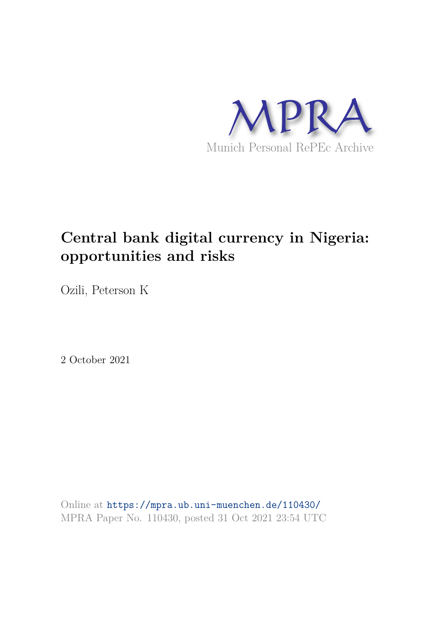

## **Central bank digital currency in Nigeria: opportunities and risks**

Ozili, Peterson K

2 October 2021

Online at https://mpra.ub.uni-muenchen.de/110430/ MPRA Paper No. 110430, posted 31 Oct 2021 23:54 UTC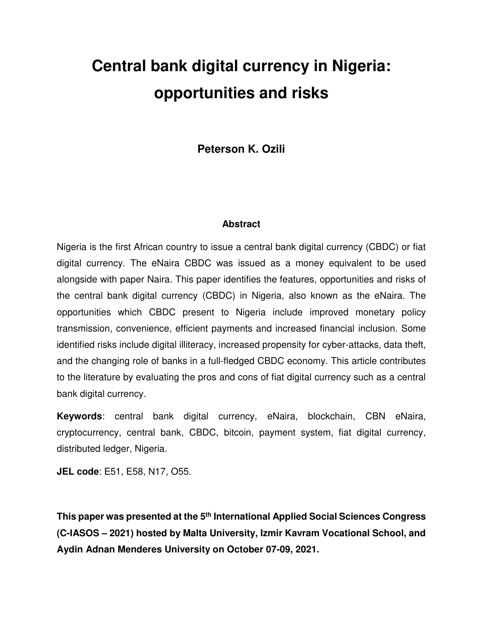# **Central bank digital currency in Nigeria: opportunities and risks**

**Peterson K. Ozili** 

#### **Abstract**

Nigeria is the first African country to issue a central bank digital currency (CBDC) or fiat digital currency. The eNaira CBDC was issued as a money equivalent to be used alongside with paper Naira. This paper identifies the features, opportunities and risks of the central bank digital currency (CBDC) in Nigeria, also known as the eNaira. The opportunities which CBDC present to Nigeria include improved monetary policy transmission, convenience, efficient payments and increased financial inclusion. Some identified risks include digital illiteracy, increased propensity for cyber-attacks, data theft, and the changing role of banks in a full-fledged CBDC economy. This article contributes to the literature by evaluating the pros and cons of fiat digital currency such as a central bank digital currency.

**Keywords**: central bank digital currency, eNaira, blockchain, CBN eNaira, cryptocurrency, central bank, CBDC, bitcoin, payment system, fiat digital currency, distributed ledger, Nigeria.

**JEL code**: E51, E58, N17, O55.

**This paper was presented at the 5th International Applied Social Sciences Congress (C-IASOS – 2021) hosted by Malta University, Izmir Kavram Vocational School, and Aydin Adnan Menderes University on October 07-09, 2021.**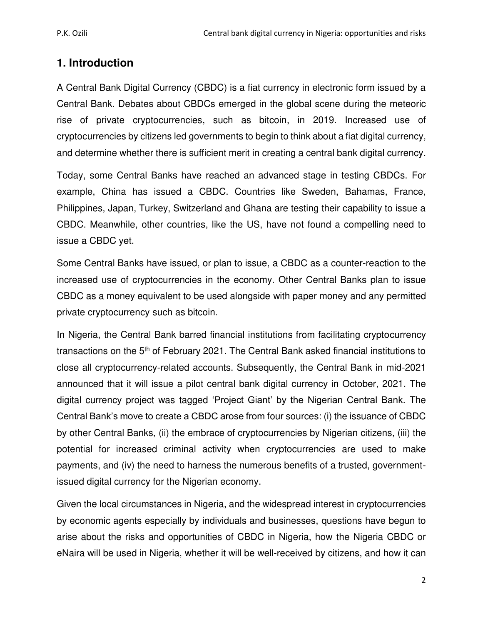## **1. Introduction**

A Central Bank Digital Currency (CBDC) is a fiat currency in electronic form issued by a Central Bank. Debates about CBDCs emerged in the global scene during the meteoric rise of private cryptocurrencies, such as bitcoin, in 2019. Increased use of cryptocurrencies by citizens led governments to begin to think about a fiat digital currency, and determine whether there is sufficient merit in creating a central bank digital currency.

Today, some Central Banks have reached an advanced stage in testing CBDCs. For example, China has issued a CBDC. Countries like Sweden, Bahamas, France, Philippines, Japan, Turkey, Switzerland and Ghana are testing their capability to issue a CBDC. Meanwhile, other countries, like the US, have not found a compelling need to issue a CBDC yet.

Some Central Banks have issued, or plan to issue, a CBDC as a counter-reaction to the increased use of cryptocurrencies in the economy. Other Central Banks plan to issue CBDC as a money equivalent to be used alongside with paper money and any permitted private cryptocurrency such as bitcoin.

In Nigeria, the Central Bank barred financial institutions from facilitating cryptocurrency transactions on the 5<sup>th</sup> of February 2021. The Central Bank asked financial institutions to close all cryptocurrency-related accounts. Subsequently, the Central Bank in mid-2021 announced that it will issue a pilot central bank digital currency in October, 2021. The digital currency project was tagged 'Project Giant' by the Nigerian Central Bank. The Central Bank's move to create a CBDC arose from four sources: (i) the issuance of CBDC by other Central Banks, (ii) the embrace of cryptocurrencies by Nigerian citizens, (iii) the potential for increased criminal activity when cryptocurrencies are used to make payments, and (iv) the need to harness the numerous benefits of a trusted, governmentissued digital currency for the Nigerian economy.

Given the local circumstances in Nigeria, and the widespread interest in cryptocurrencies by economic agents especially by individuals and businesses, questions have begun to arise about the risks and opportunities of CBDC in Nigeria, how the Nigeria CBDC or eNaira will be used in Nigeria, whether it will be well-received by citizens, and how it can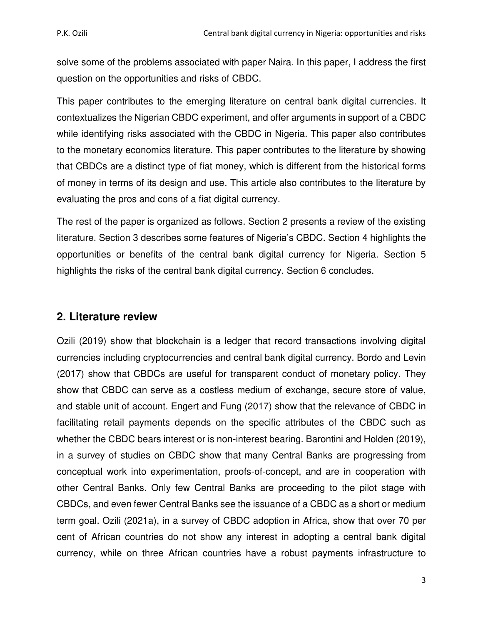solve some of the problems associated with paper Naira. In this paper, I address the first question on the opportunities and risks of CBDC.

This paper contributes to the emerging literature on central bank digital currencies. It contextualizes the Nigerian CBDC experiment, and offer arguments in support of a CBDC while identifying risks associated with the CBDC in Nigeria. This paper also contributes to the monetary economics literature. This paper contributes to the literature by showing that CBDCs are a distinct type of fiat money, which is different from the historical forms of money in terms of its design and use. This article also contributes to the literature by evaluating the pros and cons of a fiat digital currency.

The rest of the paper is organized as follows. Section 2 presents a review of the existing literature. Section 3 describes some features of Nigeria's CBDC. Section 4 highlights the opportunities or benefits of the central bank digital currency for Nigeria. Section 5 highlights the risks of the central bank digital currency. Section 6 concludes.

## **2. Literature review**

Ozili (2019) show that blockchain is a ledger that record transactions involving digital currencies including cryptocurrencies and central bank digital currency. Bordo and Levin (2017) show that CBDCs are useful for transparent conduct of monetary policy. They show that CBDC can serve as a costless medium of exchange, secure store of value, and stable unit of account. Engert and Fung (2017) show that the relevance of CBDC in facilitating retail payments depends on the specific attributes of the CBDC such as whether the CBDC bears interest or is non-interest bearing. Barontini and Holden (2019), in a survey of studies on CBDC show that many Central Banks are progressing from conceptual work into experimentation, proofs-of-concept, and are in cooperation with other Central Banks. Only few Central Banks are proceeding to the pilot stage with CBDCs, and even fewer Central Banks see the issuance of a CBDC as a short or medium term goal. Ozili (2021a), in a survey of CBDC adoption in Africa, show that over 70 per cent of African countries do not show any interest in adopting a central bank digital currency, while on three African countries have a robust payments infrastructure to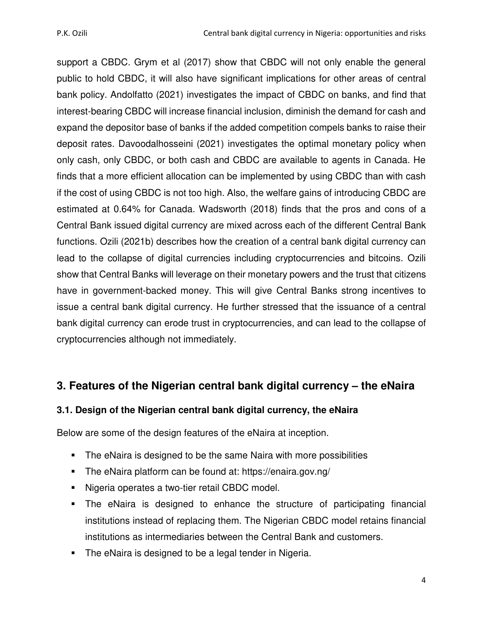support a CBDC. Grym et al (2017) show that CBDC will not only enable the general public to hold CBDC, it will also have significant implications for other areas of central bank policy. Andolfatto (2021) investigates the impact of CBDC on banks, and find that interest-bearing CBDC will increase financial inclusion, diminish the demand for cash and expand the depositor base of banks if the added competition compels banks to raise their deposit rates. Davoodalhosseini (2021) investigates the optimal monetary policy when only cash, only CBDC, or both cash and CBDC are available to agents in Canada. He finds that a more efficient allocation can be implemented by using CBDC than with cash if the cost of using CBDC is not too high. Also, the welfare gains of introducing CBDC are estimated at 0.64% for Canada. Wadsworth (2018) finds that the pros and cons of a Central Bank issued digital currency are mixed across each of the different Central Bank functions. Ozili (2021b) describes how the creation of a central bank digital currency can lead to the collapse of digital currencies including cryptocurrencies and bitcoins. Ozili show that Central Banks will leverage on their monetary powers and the trust that citizens have in government-backed money. This will give Central Banks strong incentives to issue a central bank digital currency. He further stressed that the issuance of a central bank digital currency can erode trust in cryptocurrencies, and can lead to the collapse of cryptocurrencies although not immediately.

## **3. Features of the Nigerian central bank digital currency – the eNaira**

## **3.1. Design of the Nigerian central bank digital currency, the eNaira**

Below are some of the design features of the eNaira at inception.

- The eNaira is designed to be the same Naira with more possibilities
- The eNaira platform can be found at: https://enaira.gov.ng/
- **Nigeria operates a two-tier retail CBDC model.**
- The eNaira is designed to enhance the structure of participating financial institutions instead of replacing them. The Nigerian CBDC model retains financial institutions as intermediaries between the Central Bank and customers.
- The eNaira is designed to be a legal tender in Nigeria.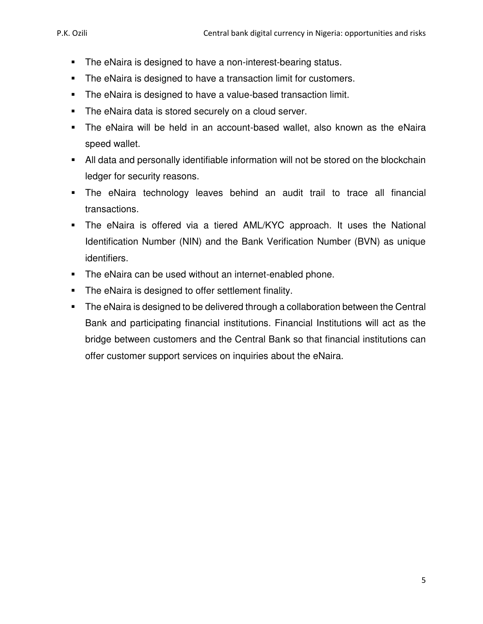- **The eNaira is designed to have a non-interest-bearing status.**
- **The eNaira is designed to have a transaction limit for customers.**
- **The eNaira is designed to have a value-based transaction limit.**
- **The eNaira data is stored securely on a cloud server.**
- The eNaira will be held in an account-based wallet, also known as the eNaira speed wallet.
- All data and personally identifiable information will not be stored on the blockchain ledger for security reasons.
- The eNaira technology leaves behind an audit trail to trace all financial transactions.
- The eNaira is offered via a tiered AML/KYC approach. It uses the National Identification Number (NIN) and the Bank Verification Number (BVN) as unique identifiers.
- **The eNaira can be used without an internet-enabled phone.**
- **The eNaira is designed to offer settlement finality.**
- **The eNaira is designed to be delivered through a collaboration between the Central** Bank and participating financial institutions. Financial Institutions will act as the bridge between customers and the Central Bank so that financial institutions can offer customer support services on inquiries about the eNaira.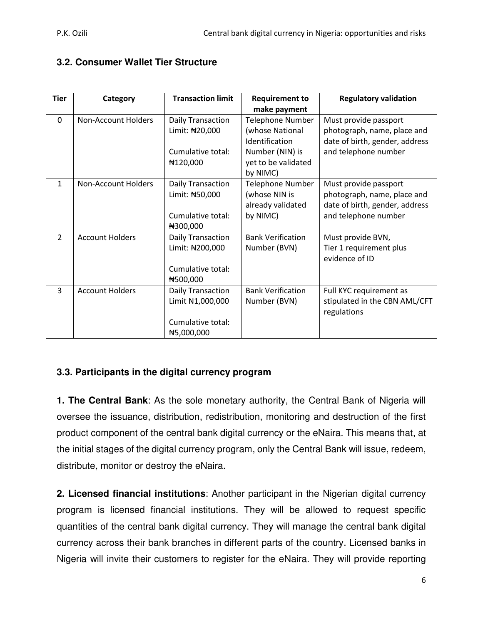#### **3.2. Consumer Wallet Tier Structure**

| <b>Tier</b>    | Category                   | <b>Transaction limit</b> | <b>Requirement to</b>    | <b>Regulatory validation</b>   |
|----------------|----------------------------|--------------------------|--------------------------|--------------------------------|
|                |                            |                          | make payment             |                                |
| $\mathbf{0}$   | Non-Account Holders        | Daily Transaction        | Telephone Number         | Must provide passport          |
|                |                            | Limit: #20,000           | (whose National          | photograph, name, place and    |
|                |                            |                          | Identification           | date of birth, gender, address |
|                |                            | Cumulative total:        | Number (NIN) is          | and telephone number           |
|                |                            | ₦120,000                 | yet to be validated      |                                |
|                |                            |                          | by NIMC)                 |                                |
| $\mathbf{1}$   | <b>Non-Account Holders</b> | <b>Daily Transaction</b> | <b>Telephone Number</b>  | Must provide passport          |
|                |                            | Limit: #50,000           | (whose NIN is            | photograph, name, place and    |
|                |                            |                          | already validated        | date of birth, gender, address |
|                |                            | Cumulative total:        | by NIMC)                 | and telephone number           |
|                |                            | ₦300,000                 |                          |                                |
| $\overline{2}$ | <b>Account Holders</b>     | Daily Transaction        | <b>Bank Verification</b> | Must provide BVN,              |
|                |                            | Limit: #200,000          | Number (BVN)             | Tier 1 requirement plus        |
|                |                            |                          |                          | evidence of ID                 |
|                |                            | Cumulative total:        |                          |                                |
|                |                            | N500,000                 |                          |                                |
| 3              | <b>Account Holders</b>     | Daily Transaction        | <b>Bank Verification</b> | Full KYC requirement as        |
|                |                            | Limit N1,000,000         | Number (BVN)             | stipulated in the CBN AML/CFT  |
|                |                            |                          |                          | regulations                    |
|                |                            | Cumulative total:        |                          |                                |
|                |                            | ₦5,000,000               |                          |                                |

#### **3.3. Participants in the digital currency program**

**1. The Central Bank**: As the sole monetary authority, the Central Bank of Nigeria will oversee the issuance, distribution, redistribution, monitoring and destruction of the first product component of the central bank digital currency or the eNaira. This means that, at the initial stages of the digital currency program, only the Central Bank will issue, redeem, distribute, monitor or destroy the eNaira.

**2. Licensed financial institutions**: Another participant in the Nigerian digital currency program is licensed financial institutions. They will be allowed to request specific quantities of the central bank digital currency. They will manage the central bank digital currency across their bank branches in different parts of the country. Licensed banks in Nigeria will invite their customers to register for the eNaira. They will provide reporting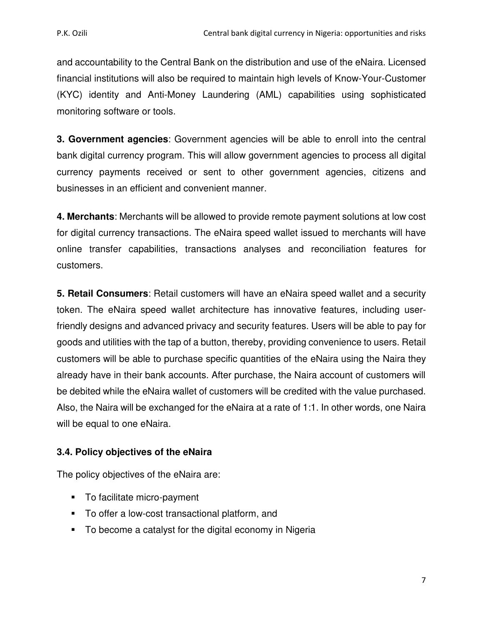and accountability to the Central Bank on the distribution and use of the eNaira. Licensed financial institutions will also be required to maintain high levels of Know-Your-Customer (KYC) identity and Anti-Money Laundering (AML) capabilities using sophisticated monitoring software or tools.

**3. Government agencies**: Government agencies will be able to enroll into the central bank digital currency program. This will allow government agencies to process all digital currency payments received or sent to other government agencies, citizens and businesses in an efficient and convenient manner.

**4. Merchants**: Merchants will be allowed to provide remote payment solutions at low cost for digital currency transactions. The eNaira speed wallet issued to merchants will have online transfer capabilities, transactions analyses and reconciliation features for customers.

**5. Retail Consumers**: Retail customers will have an eNaira speed wallet and a security token. The eNaira speed wallet architecture has innovative features, including userfriendly designs and advanced privacy and security features. Users will be able to pay for goods and utilities with the tap of a button, thereby, providing convenience to users. Retail customers will be able to purchase specific quantities of the eNaira using the Naira they already have in their bank accounts. After purchase, the Naira account of customers will be debited while the eNaira wallet of customers will be credited with the value purchased. Also, the Naira will be exchanged for the eNaira at a rate of 1:1. In other words, one Naira will be equal to one eNaira.

#### **3.4. Policy objectives of the eNaira**

The policy objectives of the eNaira are:

- To facilitate micro-payment
- To offer a low-cost transactional platform, and
- To become a catalyst for the digital economy in Nigeria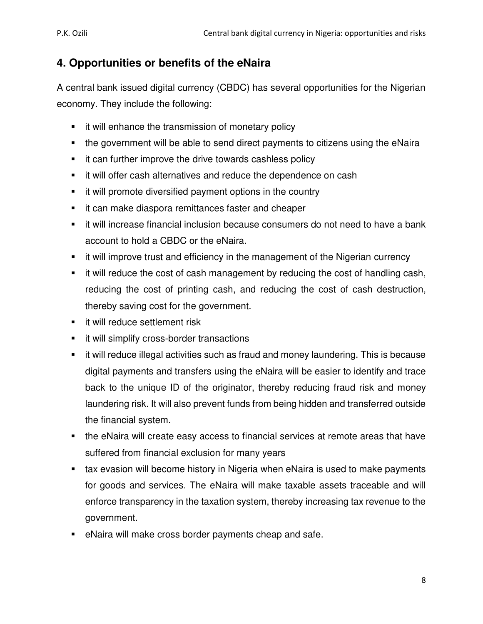## **4. Opportunities or benefits of the eNaira**

A central bank issued digital currency (CBDC) has several opportunities for the Nigerian economy. They include the following:

- **i** it will enhance the transmission of monetary policy
- the government will be able to send direct payments to citizens using the eNaira
- **i** it can further improve the drive towards cashless policy
- **t** it will offer cash alternatives and reduce the dependence on cash
- **i** it will promote diversified payment options in the country
- **i** it can make diaspora remittances faster and cheaper
- it will increase financial inclusion because consumers do not need to have a bank account to hold a CBDC or the eNaira.
- **t** it will improve trust and efficiency in the management of the Nigerian currency
- it will reduce the cost of cash management by reducing the cost of handling cash, reducing the cost of printing cash, and reducing the cost of cash destruction, thereby saving cost for the government.
- **if will reduce settlement risk**
- **ullet** it will simplify cross-border transactions
- it will reduce illegal activities such as fraud and money laundering. This is because digital payments and transfers using the eNaira will be easier to identify and trace back to the unique ID of the originator, thereby reducing fraud risk and money laundering risk. It will also prevent funds from being hidden and transferred outside the financial system.
- the eNaira will create easy access to financial services at remote areas that have suffered from financial exclusion for many years
- **tax evasion will become history in Nigeria when eNaira is used to make payments** for goods and services. The eNaira will make taxable assets traceable and will enforce transparency in the taxation system, thereby increasing tax revenue to the government.
- eNaira will make cross border payments cheap and safe.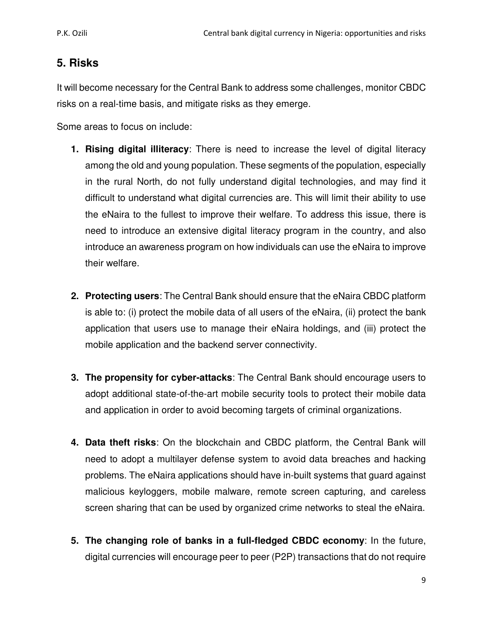## **5. Risks**

It will become necessary for the Central Bank to address some challenges, monitor CBDC risks on a real-time basis, and mitigate risks as they emerge.

Some areas to focus on include:

- **1. Rising digital illiteracy**: There is need to increase the level of digital literacy among the old and young population. These segments of the population, especially in the rural North, do not fully understand digital technologies, and may find it difficult to understand what digital currencies are. This will limit their ability to use the eNaira to the fullest to improve their welfare. To address this issue, there is need to introduce an extensive digital literacy program in the country, and also introduce an awareness program on how individuals can use the eNaira to improve their welfare.
- **2. Protecting users**: The Central Bank should ensure that the eNaira CBDC platform is able to: (i) protect the mobile data of all users of the eNaira, (ii) protect the bank application that users use to manage their eNaira holdings, and (iii) protect the mobile application and the backend server connectivity.
- **3. The propensity for cyber-attacks**: The Central Bank should encourage users to adopt additional state-of-the-art mobile security tools to protect their mobile data and application in order to avoid becoming targets of criminal organizations.
- **4. Data theft risks**: On the blockchain and CBDC platform, the Central Bank will need to adopt a multilayer defense system to avoid data breaches and hacking problems. The eNaira applications should have in-built systems that guard against malicious keyloggers, mobile malware, remote screen capturing, and careless screen sharing that can be used by organized crime networks to steal the eNaira.
- **5. The changing role of banks in a full-fledged CBDC economy**: In the future, digital currencies will encourage peer to peer (P2P) transactions that do not require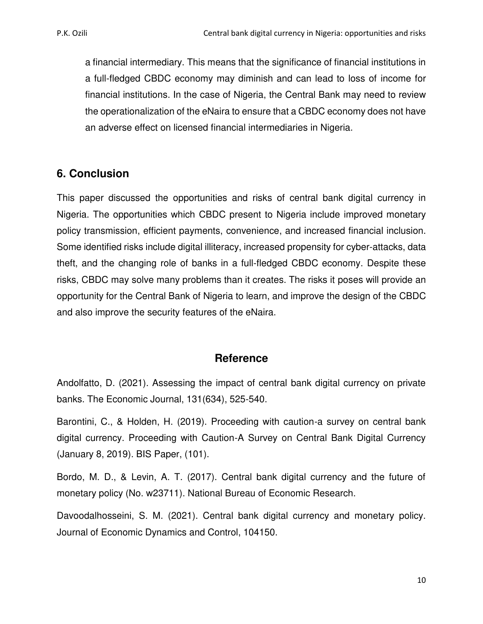a financial intermediary. This means that the significance of financial institutions in a full-fledged CBDC economy may diminish and can lead to loss of income for financial institutions. In the case of Nigeria, the Central Bank may need to review the operationalization of the eNaira to ensure that a CBDC economy does not have an adverse effect on licensed financial intermediaries in Nigeria.

## **6. Conclusion**

This paper discussed the opportunities and risks of central bank digital currency in Nigeria. The opportunities which CBDC present to Nigeria include improved monetary policy transmission, efficient payments, convenience, and increased financial inclusion. Some identified risks include digital illiteracy, increased propensity for cyber-attacks, data theft, and the changing role of banks in a full-fledged CBDC economy. Despite these risks, CBDC may solve many problems than it creates. The risks it poses will provide an opportunity for the Central Bank of Nigeria to learn, and improve the design of the CBDC and also improve the security features of the eNaira.

## **Reference**

Andolfatto, D. (2021). Assessing the impact of central bank digital currency on private banks. The Economic Journal, 131(634), 525-540.

Barontini, C., & Holden, H. (2019). Proceeding with caution-a survey on central bank digital currency. Proceeding with Caution-A Survey on Central Bank Digital Currency (January 8, 2019). BIS Paper, (101).

Bordo, M. D., & Levin, A. T. (2017). Central bank digital currency and the future of monetary policy (No. w23711). National Bureau of Economic Research.

Davoodalhosseini, S. M. (2021). Central bank digital currency and monetary policy. Journal of Economic Dynamics and Control, 104150.